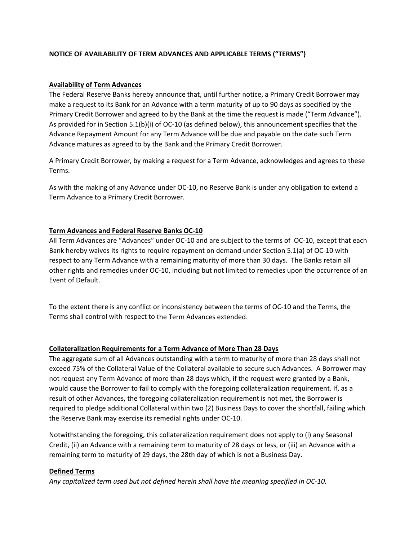# **NOTICE OF AVAILABILITY OF TERM ADVANCES AND APPLICABLE TERMS ("TERMS")**

## **Availability of Term Advances**

The Federal Reserve Banks hereby announce that, until further notice, a Primary Credit Borrower may make a request to its Bank for an Advance with a term maturity of up to 90 days as specified by the Primary Credit Borrower and agreed to by the Bank at the time the request is made ("Term Advance"). As provided for in Section 5.1(b)(i) of OC‐10 (as defined below), this announcement specifies that the Advance Repayment Amount for any Term Advance will be due and payable on the date such Term Advance matures as agreed to by the Bank and the Primary Credit Borrower.

A Primary Credit Borrower, by making a request for a Term Advance, acknowledges and agrees to these Terms.

As with the making of any Advance under OC‐10, no Reserve Bank is under any obligation to extend a Term Advance to a Primary Credit Borrower.

# **Term Advances and Federal Reserve Banks OC‐10**

All Term Advances are "Advances" under OC‐10 and are subject to the terms of OC‐10, except that each Bank hereby waives its rights to require repayment on demand under Section 5.1(a) of OC‐10 with respect to any Term Advance with a remaining maturity of more than 30 days. The Banks retain all other rights and remedies under OC‐10, including but not limited to remedies upon the occurrence of an Event of Default.

To the extent there is any conflict or inconsistency between the terms of OC‐10 and the Terms, the Terms shall control with respect to the Term Advances extended.

## **Collateralization Requirements for a Term Advance of More Than 28 Days**

The aggregate sum of all Advances outstanding with a term to maturity of more than 28 days shall not exceed 75% of the Collateral Value of the Collateral available to secure such Advances. A Borrower may not request any Term Advance of more than 28 days which, if the request were granted by a Bank, would cause the Borrower to fail to comply with the foregoing collateralization requirement. If, as a result of other Advances, the foregoing collateralization requirement is not met, the Borrower is required to pledge additional Collateral within two (2) Business Days to cover the shortfall, failing which the Reserve Bank may exercise its remedial rights under OC‐10.

Notwithstanding the foregoing, this collateralization requirement does not apply to (i) any Seasonal Credit, (ii) an Advance with a remaining term to maturity of 28 days or less, or (iii) an Advance with a remaining term to maturity of 29 days, the 28th day of which is not a Business Day.

## **Defined Terms**

*Any capitalized term used but not defined herein shall have the meaning specified in OC‐10.*